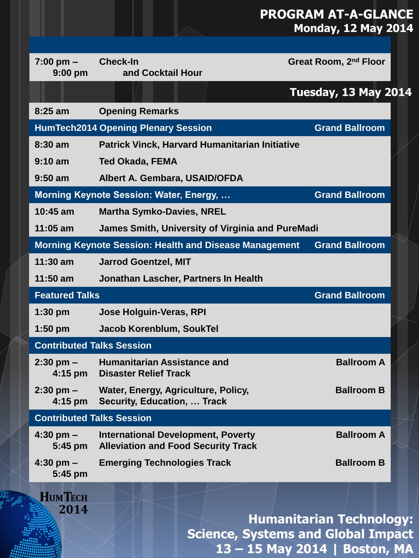## **PROGRAM AT-A-GLANCE Monday, 12 May 2014**

| $7:00 \text{ pm} -$<br>$9:00$ pm               | <b>Check-In</b><br>and Cocktail Hour                                                    | Great Room, 2nd Floor                                                                                         |  |  |
|------------------------------------------------|-----------------------------------------------------------------------------------------|---------------------------------------------------------------------------------------------------------------|--|--|
|                                                |                                                                                         | <b>Tuesday, 13 May 2014</b>                                                                                   |  |  |
| $8:25$ am                                      | <b>Opening Remarks</b>                                                                  |                                                                                                               |  |  |
|                                                | <b>HumTech2014 Opening Plenary Session</b>                                              | <b>Grand Ballroom</b>                                                                                         |  |  |
| $8:30$ am                                      | Patrick Vinck, Harvard Humanitarian Initiative                                          |                                                                                                               |  |  |
| $9:10$ am                                      | <b>Ted Okada, FEMA</b>                                                                  |                                                                                                               |  |  |
| $9:50$ am                                      | Albert A. Gembara, USAID/OFDA                                                           |                                                                                                               |  |  |
|                                                | Morning Keynote Session: Water, Energy,                                                 | <b>Grand Ballroom</b>                                                                                         |  |  |
| 10:45 am                                       | <b>Martha Symko-Davies, NREL</b>                                                        |                                                                                                               |  |  |
| $11:05$ am                                     | James Smith, University of Virginia and PureMadi                                        |                                                                                                               |  |  |
|                                                | <b>Morning Keynote Session: Health and Disease Management</b>                           | <b>Grand Ballroom</b>                                                                                         |  |  |
| $11:30$ am                                     | <b>Jarrod Goentzel, MIT</b>                                                             |                                                                                                               |  |  |
| $11:50$ am                                     | Jonathan Lascher, Partners In Health                                                    |                                                                                                               |  |  |
| <b>Grand Ballroom</b><br><b>Featured Talks</b> |                                                                                         |                                                                                                               |  |  |
| $1:30$ pm                                      | Jose Holguin-Veras, RPI                                                                 |                                                                                                               |  |  |
| $1:50$ pm                                      | Jacob Korenblum, SoukTel                                                                |                                                                                                               |  |  |
| <b>Contributed Talks Session</b>               |                                                                                         |                                                                                                               |  |  |
| $2:30$ pm $-$<br>4:15 pm                       | <b>Humanitarian Assistance and</b><br><b>Disaster Relief Track</b>                      | <b>Ballroom A</b>                                                                                             |  |  |
| $2:30$ pm $-$<br>4:15 pm                       | Water, Energy, Agriculture, Policy,<br>Security, Education,  Track                      | <b>Ballroom B</b>                                                                                             |  |  |
| <b>Contributed Talks Session</b>               |                                                                                         |                                                                                                               |  |  |
| $4:30$ pm $-$<br>5:45 pm                       | <b>International Development, Poverty</b><br><b>Alleviation and Food Security Track</b> | <b>Ballroom A</b>                                                                                             |  |  |
| $4:30$ pm $-$<br>5:45 pm                       | <b>Emerging Technologies Track</b>                                                      | <b>Ballroom B</b>                                                                                             |  |  |
| <b>HUMTECH</b><br>2014                         |                                                                                         | <b>Humanitarian Technology:</b><br><b>Science, Systems and Global Impact</b><br>13 - 15 May 2014   Boston, MA |  |  |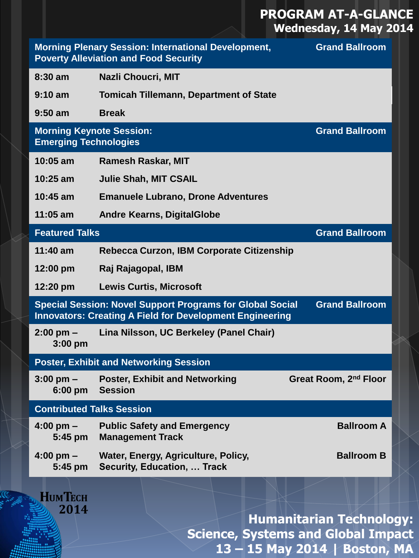## **PROGRAM AT-A-GLANCE Wednesday, 14 May 2014**

|                                                                 | <b>Morning Plenary Session: International Development,</b><br><b>Poverty Alleviation and Food Security</b>                          | <b>Grand Ballroom</b>                     |
|-----------------------------------------------------------------|-------------------------------------------------------------------------------------------------------------------------------------|-------------------------------------------|
| $8:30$ am                                                       | <b>Nazli Choucri, MIT</b>                                                                                                           |                                           |
| $9:10 \text{ am}$                                               | <b>Tomicah Tillemann, Department of State</b>                                                                                       |                                           |
| $9:50$ am                                                       | <b>Break</b>                                                                                                                        |                                           |
| <b>Morning Keynote Session:</b><br><b>Emerging Technologies</b> |                                                                                                                                     | <b>Grand Ballroom</b>                     |
| $10:05$ am                                                      | <b>Ramesh Raskar, MIT</b>                                                                                                           |                                           |
| $10:25$ am                                                      | <b>Julie Shah, MIT CSAIL</b>                                                                                                        |                                           |
| $10:45$ am                                                      | <b>Emanuele Lubrano, Drone Adventures</b>                                                                                           |                                           |
| $11:05$ am                                                      | <b>Andre Kearns, DigitalGlobe</b>                                                                                                   |                                           |
| <b>Featured Talks</b>                                           |                                                                                                                                     | <b>Grand Ballroom</b>                     |
| $11:40$ am                                                      | Rebecca Curzon, IBM Corporate Citizenship                                                                                           |                                           |
| $12:00 \text{ pm}$                                              | Raj Rajagopal, IBM                                                                                                                  |                                           |
| 12:20 pm                                                        | <b>Lewis Curtis, Microsoft</b>                                                                                                      |                                           |
|                                                                 | <b>Special Session: Novel Support Programs for Global Social</b><br><b>Innovators: Creating A Field for Development Engineering</b> | <b>Grand Ballroom</b>                     |
| $2:00 \text{ pm}$ –<br>3:00 pm                                  | Lina Nilsson, UC Berkeley (Panel Chair)                                                                                             |                                           |
|                                                                 | <b>Poster, Exhibit and Networking Session</b>                                                                                       |                                           |
| $3:00$ pm $-$<br>$6:00$ pm                                      | <b>Poster, Exhibit and Networking</b><br><b>Session</b>                                                                             | Great Room, 2nd Floor                     |
| <b>Contributed Talks Session</b>                                |                                                                                                                                     |                                           |
| $4:00$ pm $-$<br>$5:45$ pm                                      | <b>Public Safety and Emergency</b><br><b>Management Track</b>                                                                       | <b>Ballroom A</b>                         |
| $4:00$ pm $-$<br>$5:45$ pm                                      | Water, Energy, Agriculture, Policy,<br><b>Security, Education,  Track</b>                                                           | <b>Ballroom B</b>                         |
| <b>HUMTECH</b><br>2014                                          |                                                                                                                                     |                                           |
|                                                                 |                                                                                                                                     | <b>Humanitarian Technology:</b>           |
|                                                                 |                                                                                                                                     | <b>Science, Systems and Global Impact</b> |

**13 – 15 May 2014 | Boston, MA**